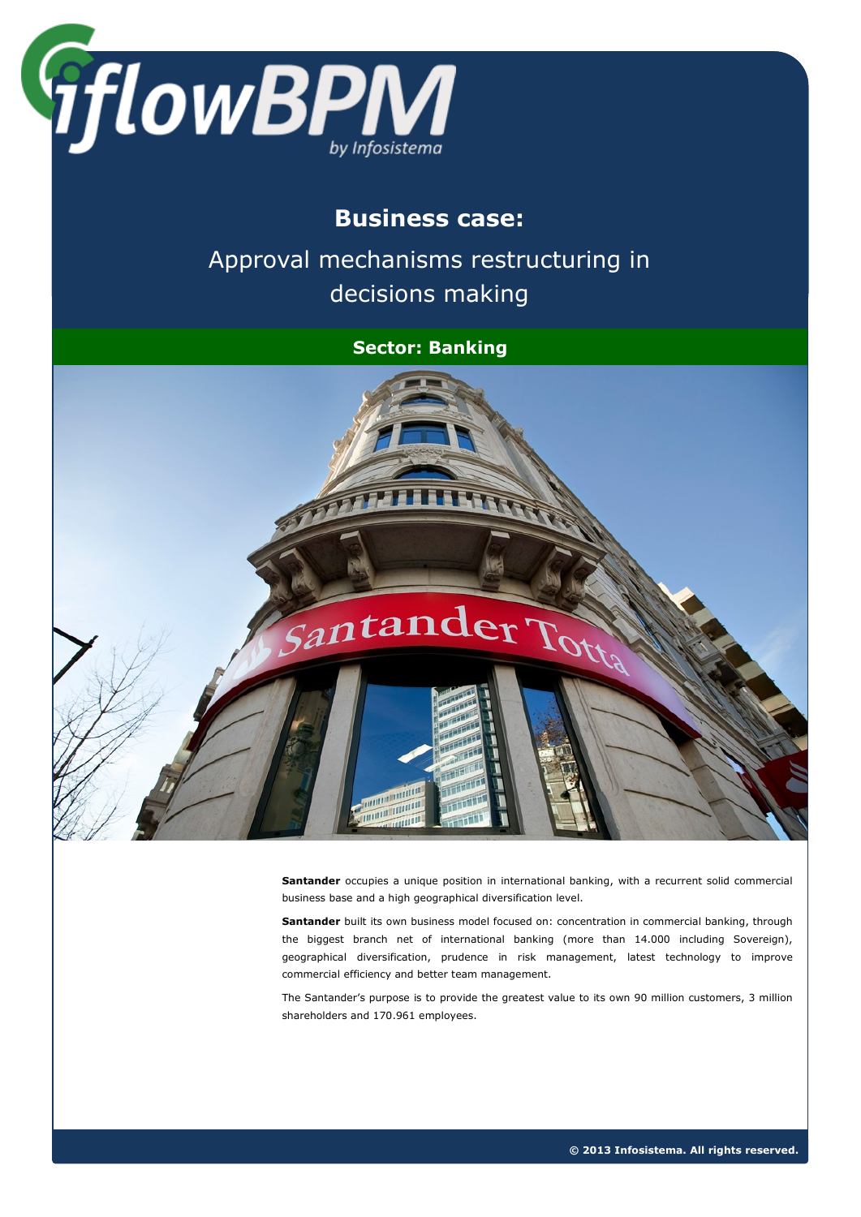

## **Business case:**

Approval mechanisms restructuring in decisions making

#### **Sector: Banking**



**Santander** occupies a unique position in international banking, with a recurrent solid commercial business base and a high geographical diversification level.

**Santander** built its own business model focused on: concentration in commercial banking, through the biggest branch net of international banking (more than 14.000 including Sovereign), geographical diversification, prudence in risk management, latest technology to improve commercial efficiency and better team management.

The Santander's purpose is to provide the greatest value to its own 90 million customers, 3 million shareholders and 170.961 employees.